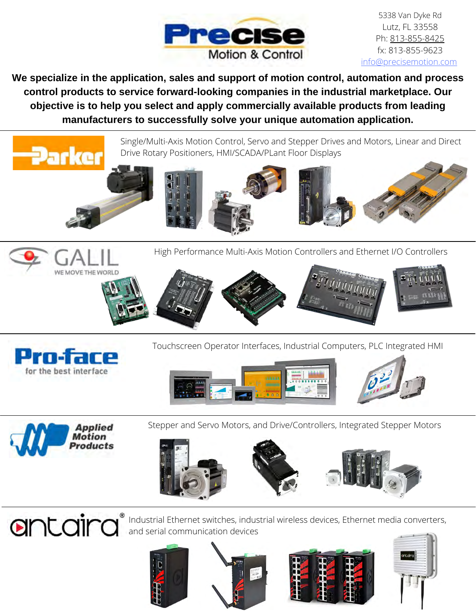

5338 Van Dyke Rd Lutz, FL 33558 Ph: [813-855-8425](tel:813-855-8425) fx: 813-855-9623 [info@precisemotion.com](mailto:info@precisemotion.com)

**We specialize in the application, sales and support of motion control, automation and process control products to service forward-looking companies in the industrial marketplace. Our objective is to help you select and apply commercially available products from leading manufacturers to successfully solve your unique automation application.**





Stepper and Servo Motors, and Drive/Controllers, Integrated Stepper Motors





Industrial Ethernet switches, industrial wireless devices, Ethernet media converters, and serial communication devices







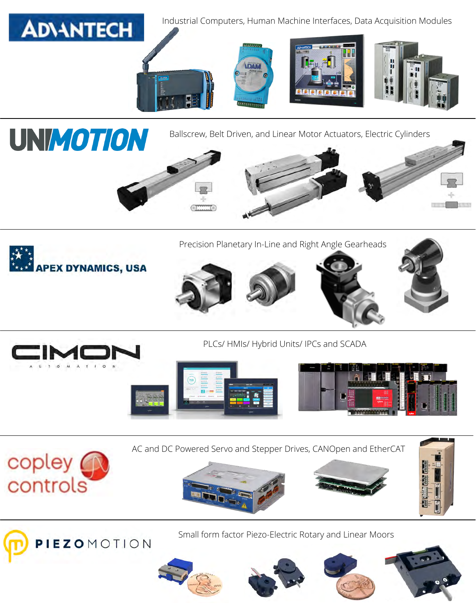











PLCs/ HMIs/ Hybrid Units/ IPCs and SCADA













copley<br>controls

Small form factor Piezo-Electric Rotary and Linear Moors